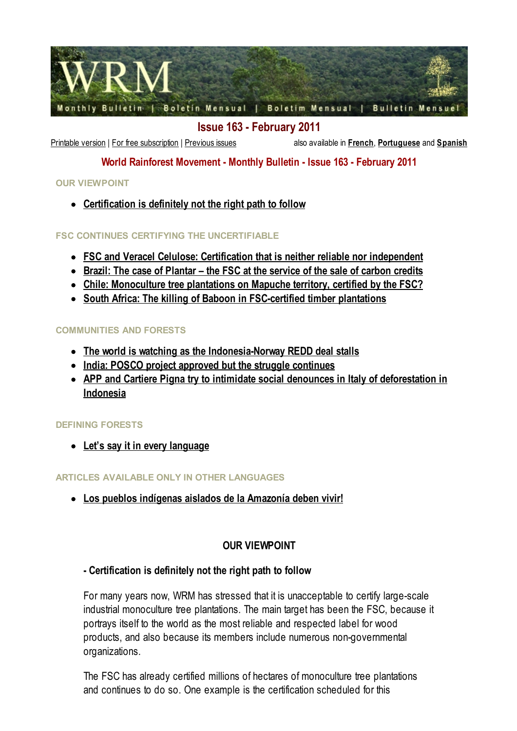

Issue 163 - February 2011

[Printable](http://wrm.org.uy/bulletin/163/Bulletin163.pdf) version | For free [subscription](http://www.wrm.org.uy/lists/?p=subscribe&id=1) | [Previous](http://wrm.org.uy/bulletin/previous.html) issues also available in [French](http://wrm.org.uy/bulletinfr/163/vue.html), [Portuguese](http://wrm.org.uy/boletim/163/opiniao.html) and [Spanish](http://wrm.org.uy/boletin/163/opinion.html)

## World Rainforest Movement - Monthly Bulletin - Issue 163 - February 2011

### OUR VIEWPOINT

• [Certification](http://wrm.org.uy/bulletin/163/Certification.html) is definitely not the right path to follow

### FSC CONTINUES CERTIFYING THE UNCERTIFIABLE

- FSC and Veracel Celulose: Certification that is neither reliable nor [independent](http://wrm.org.uy/bulletin/163/FSC_and_Veracel_Celulose.html)
- Brazil: The case of Plantar the FSC at the [service](http://wrm.org.uy/bulletin/163/Brazil_Plantar.html) of the sale of carbon credits
- Chile: [Monoculture](http://wrm.org.uy/bulletin/163/Chile.html) tree plantations on Mapuche territory, certified by the FSC?
- South Africa: The killing of Baboon in [FSC-certified](http://wrm.org.uy/bulletin/163/South_Africa.html) timber plantations

### COMMUNITIES AND FORESTS

- The world is watching as the [Indonesia-Norway](http://wrm.org.uy/bulletin/163/Indonesia-Norway-REDD.html) REDD deal stalls
- India: POSCO project approved but the struggle [continues](http://wrm.org.uy/bulletin/163/India.html)
- APP and Cartiere Pigna try to intimidate social denounces in Italy of [deforestation](http://wrm.org.uy/bulletin/163/Indonesia.html) in Indonesia

#### DEFINING FORESTS

• Let's say it in every [language](http://wrm.org.uy/bulletin/163/viewpoint.html#9)

### ARTICLES AVAILABLE ONLY IN OTHER LANGUAGES

Los pueblos [indígenas](http://wrm.org.uy/boletin/163/Amazonia.html) aislados de la Amazonía deben vivir!

### OUR VIEWPOINT

### - Certification is definitely not the right path to follow

For many years now, WRM has stressed that it is unacceptable to certify large-scale industrial monoculture tree plantations. The main target has been the FSC, because it portrays itself to the world as the most reliable and respected label for wood products, and also because its members include numerous non-governmental organizations.

The FSC has already certified millions of hectares of monoculture tree plantations and continues to do so. One example is the certification scheduled for this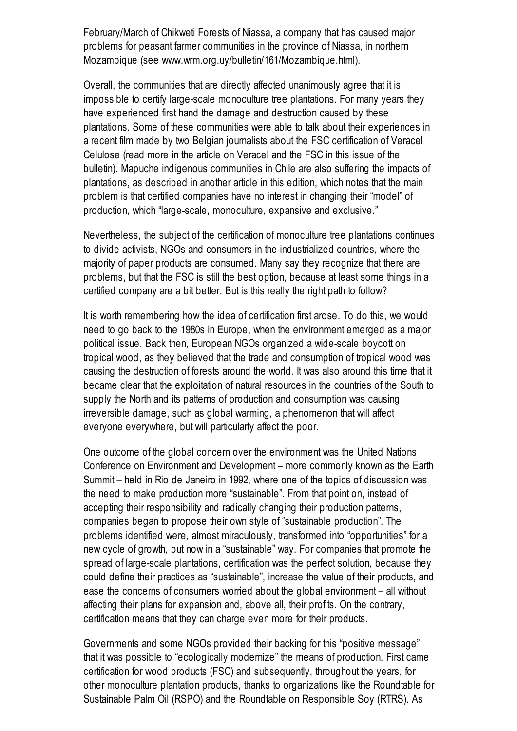February/March of Chikweti Forests of Niassa, a company that has caused major problems for peasant farmer communities in the province of Niassa, in northern Mozambique (see [www.wrm.org.uy/bulletin/161/Mozambique.html](http://www.wrm.org.uy/bulletin/161/Mozambique.html)).

Overall, the communities that are directly affected unanimously agree that it is impossible to certify large-scale monoculture tree plantations. For many years they have experienced first hand the damage and destruction caused by these plantations. Some of these communities were able to talk about their experiences in a recent film made by two Belgian journalists about the FSC certification of Veracel Celulose (read more in the article on Veracel and the FSC in this issue of the bulletin). Mapuche indigenous communities in Chile are also suffering the impacts of plantations, as described in another article in this edition, which notes that the main problem is that certified companies have no interest in changing their "model" of production, which "large-scale, monoculture, expansive and exclusive."

Nevertheless, the subject of the certification of monoculture tree plantations continues to divide activists, NGOs and consumers in the industrialized countries, where the majority of paper products are consumed. Many say they recognize that there are problems, but that the FSC is still the best option, because at least some things in a certified company are a bit better. But is this really the right path to follow?

It is worth remembering how the idea of certification first arose. To do this, we would need to go back to the 1980s in Europe, when the environment emerged as a major political issue. Back then, European NGOs organized a wide-scale boycott on tropical wood, as they believed that the trade and consumption of tropical wood was causing the destruction of forests around the world. It was also around this time that it became clear that the exploitation of natural resources in the countries of the South to supply the North and its patterns of production and consumption was causing irreversible damage, such as global warming, a phenomenon that will affect everyone everywhere, but will particularly affect the poor.

One outcome of the global concern over the environment was the United Nations Conference on Environment and Development – more commonly known as the Earth Summit – held in Rio de Janeiro in 1992, where one of the topics of discussion was the need to make production more "sustainable". From that point on, instead of accepting their responsibility and radically changing their production patterns, companies began to propose their own style of "sustainable production". The problems identified were, almost miraculously, transformed into "opportunities" for a new cycle of growth, but now in a "sustainable" way. For companies that promote the spread of large-scale plantations, certification was the perfect solution, because they could define their practices as "sustainable", increase the value of their products, and ease the concerns of consumers worried about the global environment – all without affecting their plans for expansion and, above all, their profits. On the contrary, certification means that they can charge even more for their products.

Governments and some NGOs provided their backing for this "positive message" that it was possible to "ecologically modernize" the means of production. First came certification for wood products (FSC) and subsequently, throughout the years, for other monoculture plantation products, thanks to organizations like the Roundtable for Sustainable Palm Oil (RSPO) and the Roundtable on Responsible Soy (RTRS). As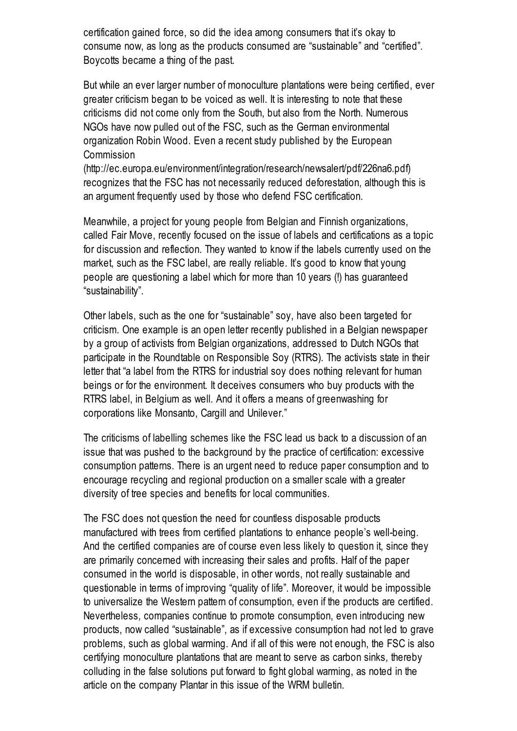certification gained force, so did the idea among consumers that it's okay to consume now, as long as the products consumed are "sustainable" and "certified". Boycotts became a thing of the past.

But while an ever larger number of monoculture plantations were being certified, ever greater criticism began to be voiced as well. It is interesting to note that these criticisms did not come only from the South, but also from the North. Numerous NGOs have now pulled out of the FSC, such as the German environmental organization Robin Wood. Even a recent study published by the European Commission

(http://ec.europa.eu/environment/integration/research/newsalert/pdf/226na6.pdf) recognizes that the FSC has not necessarily reduced deforestation, although this is an argument frequently used by those who defend FSC certification.

Meanwhile, a project for young people from Belgian and Finnish organizations, called Fair Move, recently focused on the issue of labels and certifications as a topic for discussion and reflection. They wanted to know if the labels currently used on the market, such as the FSC label, are really reliable. It's good to know that young people are questioning a label which for more than 10 years (!) has guaranteed "sustainability".

Other labels, such as the one for "sustainable" soy, have also been targeted for criticism. One example is an open letter recently published in a Belgian newspaper by a group of activists from Belgian organizations, addressed to Dutch NGOs that participate in the Roundtable on Responsible Soy (RTRS). The activists state in their letter that "a label from the RTRS for industrial soy does nothing relevant for human beings or for the environment. It deceives consumers who buy products with the RTRS label, in Belgium as well. And it offers a means of greenwashing for corporations like Monsanto, Cargill and Unilever."

The criticisms of labelling schemes like the FSC lead us back to a discussion of an issue that was pushed to the background by the practice of certification: excessive consumption patterns. There is an urgent need to reduce paper consumption and to encourage recycling and regional production on a smaller scale with a greater diversity of tree species and benefits for local communities.

The FSC does not question the need for countless disposable products manufactured with trees from certified plantations to enhance people's well-being. And the certified companies are of course even less likely to question it, since they are primarily concerned with increasing their sales and profits. Half of the paper consumed in the world is disposable, in other words, not really sustainable and questionable in terms of improving "quality of life". Moreover, it would be impossible to universalize the Western pattern of consumption, even if the products are certified. Nevertheless, companies continue to promote consumption, even introducing new products, now called "sustainable", as if excessive consumption had not led to grave problems, such as global warming. And if all of this were not enough, the FSC is also certifying monoculture plantations that are meant to serve as carbon sinks, thereby colluding in the false solutions put forward to fight global warming, as noted in the article on the company Plantar in this issue of the WRM bulletin.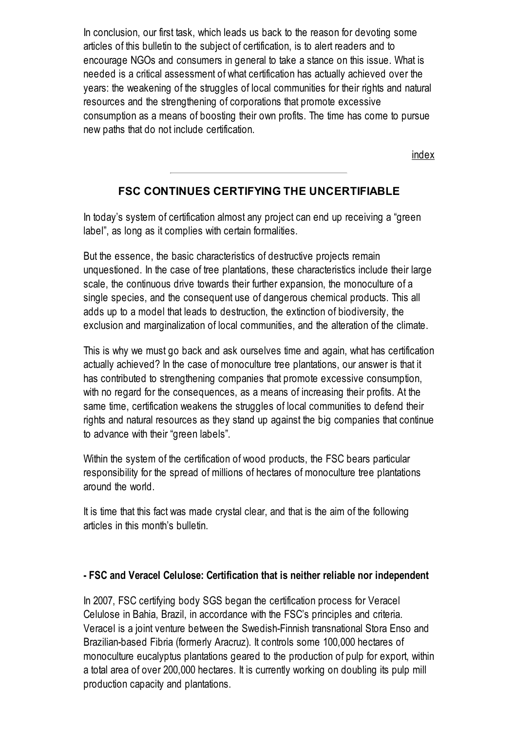In conclusion, our first task, which leads us back to the reason for devoting some articles of this bulletin to the subject of certification, is to alert readers and to encourage NGOs and consumers in general to take a stance on this issue. What is needed is a critical assessment of what certification has actually achieved over the years: the weakening of the struggles of local communities for their rights and natural resources and the strengthening of corporations that promote excessive consumption as a means of boosting their own profits. The time has come to pursue new paths that do not include certification.

[index](http://wrm.org.uy/bulletin/163/viewpoint.html#0)

## FSC CONTINUES CERTIFYING THE UNCERTIFIABLE

In today's system of certification almost any project can end up receiving a "green label", as long as it complies with certain formalities.

But the essence, the basic characteristics of destructive projects remain unquestioned. In the case of tree plantations, these characteristics include their large scale, the continuous drive towards their further expansion, the monoculture of a single species, and the consequent use of dangerous chemical products. This all adds up to a model that leads to destruction, the extinction of biodiversity, the exclusion and marginalization of local communities, and the alteration of the climate.

This is why we must go back and ask ourselves time and again, what has certification actually achieved? In the case of monoculture tree plantations, our answer is that it has contributed to strengthening companies that promote excessive consumption, with no regard for the consequences, as a means of increasing their profits. At the same time, certification weakens the struggles of local communities to defend their rights and natural resources as they stand up against the big companies that continue to advance with their "green labels".

Within the system of the certification of wood products, the FSC bears particular responsibility for the spread of millions of hectares of monoculture tree plantations around the world.

It is time that this fact was made crystal clear, and that is the aim of the following articles in this month's bulletin.

#### - FSC and Veracel Celulose: Certification that is neither reliable nor independent

In 2007, FSC certifying body SGS began the certification process for Veracel Celulose in Bahia, Brazil, in accordance with the FSC's principles and criteria. Veracel is a joint venture between the Swedish-Finnish transnational Stora Enso and Brazilian-based Fibria (formerly Aracruz). It controls some 100,000 hectares of monoculture eucalyptus plantations geared to the production of pulp for export, within a total area of over 200,000 hectares. It is currently working on doubling its pulp mill production capacity and plantations.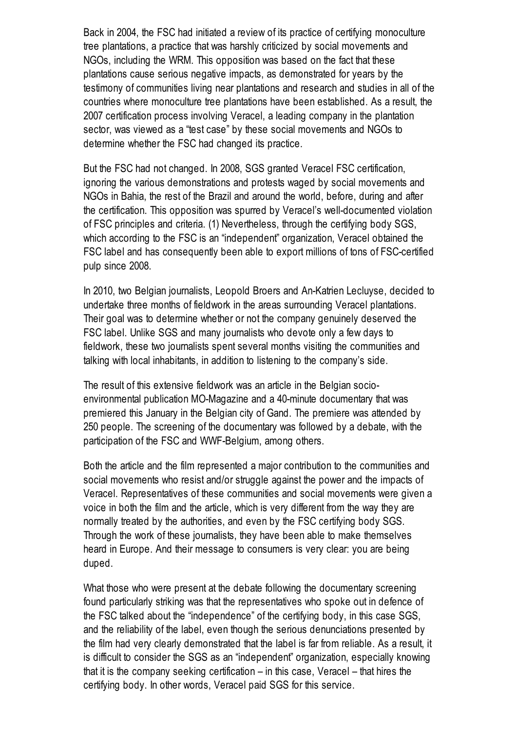Back in 2004, the FSC had initiated a review of its practice of certifying monoculture tree plantations, a practice that was harshly criticized by social movements and NGOs, including the WRM. This opposition was based on the fact that these plantations cause serious negative impacts, as demonstrated for years by the testimony of communities living near plantations and research and studies in all of the countries where monoculture tree plantations have been established. As a result, the 2007 certification process involving Veracel, a leading company in the plantation sector, was viewed as a "test case" by these social movements and NGOs to determine whether the FSC had changed its practice.

But the FSC had not changed. In 2008, SGS granted Veracel FSC certification, ignoring the various demonstrations and protests waged by social movements and NGOs in Bahia, the rest of the Brazil and around the world, before, during and after the certification. This opposition was spurred by Veracel's well-documented violation of FSC principles and criteria. (1) Nevertheless, through the certifying body SGS, which according to the FSC is an "independent" organization, Veracel obtained the FSC label and has consequently been able to export millions of tons of FSC-certified pulp since 2008.

In 2010, two Belgian journalists, Leopold Broers and An-Katrien Lecluyse, decided to undertake three months of fieldwork in the areas surrounding Veracel plantations. Their goal was to determine whether or not the company genuinely deserved the FSC label. Unlike SGS and many journalists who devote only a few days to fieldwork, these two journalists spent several months visiting the communities and talking with local inhabitants, in addition to listening to the company's side.

The result of this extensive fieldwork was an article in the Belgian socioenvironmental publication MO-Magazine and a 40-minute documentary that was premiered this January in the Belgian city of Gand. The premiere was attended by 250 people. The screening of the documentary was followed by a debate, with the participation of the FSC and WWF-Belgium, among others.

Both the article and the film represented a major contribution to the communities and social movements who resist and/or struggle against the power and the impacts of Veracel. Representatives of these communities and social movements were given a voice in both the film and the article, which is very different from the way they are normally treated by the authorities, and even by the FSC certifying body SGS. Through the work of these journalists, they have been able to make themselves heard in Europe. And their message to consumers is very clear: you are being duped.

What those who were present at the debate following the documentary screening found particularly striking was that the representatives who spoke out in defence of the FSC talked about the "independence" of the certifying body, in this case SGS, and the reliability of the label, even though the serious denunciations presented by the film had very clearly demonstrated that the label is far from reliable. As a result, it is difficult to consider the SGS as an "independent" organization, especially knowing that it is the company seeking certification – in this case, Veracel – that hires the certifying body. In other words, Veracel paid SGS for this service.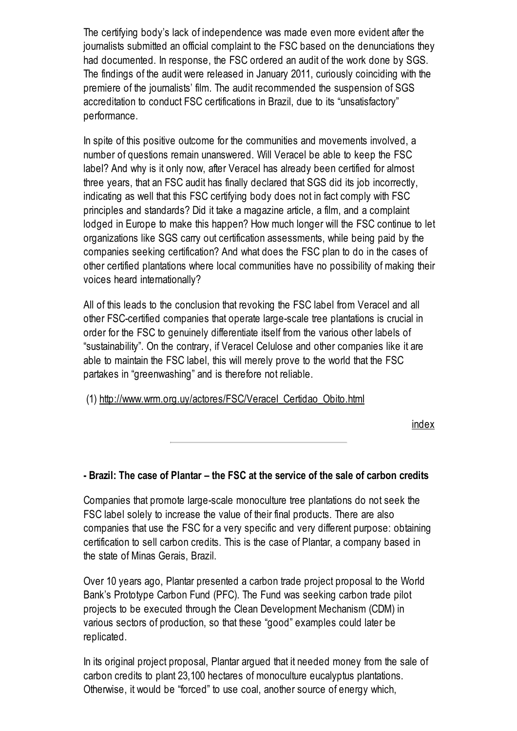The certifying body's lack of independence was made even more evident after the journalists submitted an official complaint to the FSC based on the denunciations they had documented. In response, the FSC ordered an audit of the work done by SGS. The findings of the audit were released in January 2011, curiously coinciding with the premiere of the journalists' film. The audit recommended the suspension of SGS accreditation to conduct FSC certifications in Brazil, due to its "unsatisfactory" performance.

In spite of this positive outcome for the communities and movements involved, a number of questions remain unanswered. Will Veracel be able to keep the FSC label? And why is it only now, after Veracel has already been certified for almost three years, that an FSC audit has finally declared that SGS did its job incorrectly, indicating as well that this FSC certifying body does not in fact comply with FSC principles and standards? Did it take a magazine article, a film, and a complaint lodged in Europe to make this happen? How much longer will the FSC continue to let organizations like SGS carry out certification assessments, while being paid by the companies seeking certification? And what does the FSC plan to do in the cases of other certified plantations where local communities have no possibility of making their voices heard internationally?

All of this leads to the conclusion that revoking the FSC label from Veracel and all other FSC-certified companies that operate large-scale tree plantations is crucial in order for the FSC to genuinely differentiate itself from the various other labels of "sustainability". On the contrary, if Veracel Celulose and other companies like it are able to maintain the FSC label, this will merely prove to the world that the FSC partakes in "greenwashing" and is therefore not reliable.

(1) [http://www.wrm.org.uy/actores/FSC/Veracel\\_Certidao\\_Obito.html](http://www.wrm.org.uy/actores/FSC/Veracel_Certidao_Obito.html)

[index](http://wrm.org.uy/bulletin/163/viewpoint.html#0)

## - Brazil: The case of Plantar – the FSC at the service of the sale of carbon credits

Companies that promote large-scale monoculture tree plantations do not seek the FSC label solely to increase the value of their final products. There are also companies that use the FSC for a very specific and very different purpose: obtaining certification to sell carbon credits. This is the case of Plantar, a company based in the state of Minas Gerais, Brazil.

Over 10 years ago, Plantar presented a carbon trade project proposal to the World Bank's Prototype Carbon Fund (PFC). The Fund was seeking carbon trade pilot projects to be executed through the Clean Development Mechanism (CDM) in various sectors of production, so that these "good" examples could later be replicated.

In its original project proposal, Plantar argued that it needed money from the sale of carbon credits to plant 23,100 hectares of monoculture eucalyptus plantations. Otherwise, it would be "forced" to use coal, another source of energy which,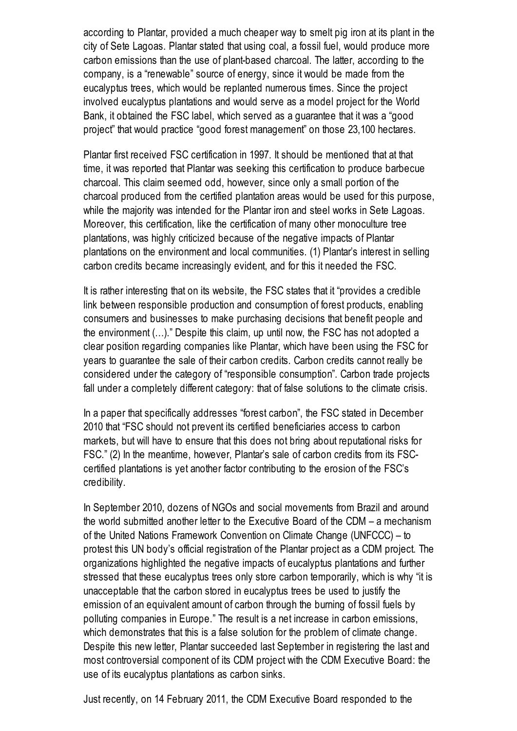according to Plantar, provided a much cheaper way to smelt pig iron at its plant in the city of Sete Lagoas. Plantar stated that using coal, a fossil fuel, would produce more carbon emissions than the use of plant-based charcoal. The latter, according to the company, is a "renewable" source of energy, since it would be made from the eucalyptus trees, which would be replanted numerous times. Since the project involved eucalyptus plantations and would serve as a model project for the World Bank, it obtained the FSC label, which served as a guarantee that it was a "good project" that would practice "good forest management" on those 23,100 hectares.

Plantar first received FSC certification in 1997. It should be mentioned that at that time, it was reported that Plantar was seeking this certification to produce barbecue charcoal. This claim seemed odd, however, since only a small portion of the charcoal produced from the certified plantation areas would be used for this purpose, while the majority was intended for the Plantar iron and steel works in Sete Lagoas. Moreover, this certification, like the certification of many other monoculture tree plantations, was highly criticized because of the negative impacts of Plantar plantations on the environment and local communities. (1) Plantar's interest in selling carbon credits became increasingly evident, and for this it needed the FSC.

It is rather interesting that on its website, the FSC states that it "provides a credible link between responsible production and consumption of forest products, enabling consumers and businesses to make purchasing decisions that benefit people and the environment (…)." Despite this claim, up until now, the FSC has not adopted a clear position regarding companies like Plantar, which have been using the FSC for years to guarantee the sale of their carbon credits. Carbon credits cannot really be considered under the category of "responsible consumption". Carbon trade projects fall under a completely different category: that of false solutions to the climate crisis.

In a paper that specifically addresses "forest carbon", the FSC stated in December 2010 that "FSC should not prevent its certified beneficiaries access to carbon markets, but will have to ensure that this does not bring about reputational risks for FSC." (2) In the meantime, however, Plantar's sale of carbon credits from its FSCcertified plantations is yet another factor contributing to the erosion of the FSC's credibility.

In September 2010, dozens of NGOs and social movements from Brazil and around the world submitted another letter to the Executive Board of the CDM – a mechanism of the United Nations Framework Convention on Climate Change (UNFCCC) – to protest this UN body's official registration of the Plantar project as a CDM project. The organizations highlighted the negative impacts of eucalyptus plantations and further stressed that these eucalyptus trees only store carbon temporarily, which is why "it is unacceptable that the carbon stored in eucalyptus trees be used to justify the emission of an equivalent amount of carbon through the burning of fossil fuels by polluting companies in Europe." The result is a net increase in carbon emissions, which demonstrates that this is a false solution for the problem of climate change. Despite this new letter, Plantar succeeded last September in registering the last and most controversial component of its CDM project with the CDM Executive Board: the use of its eucalyptus plantations as carbon sinks.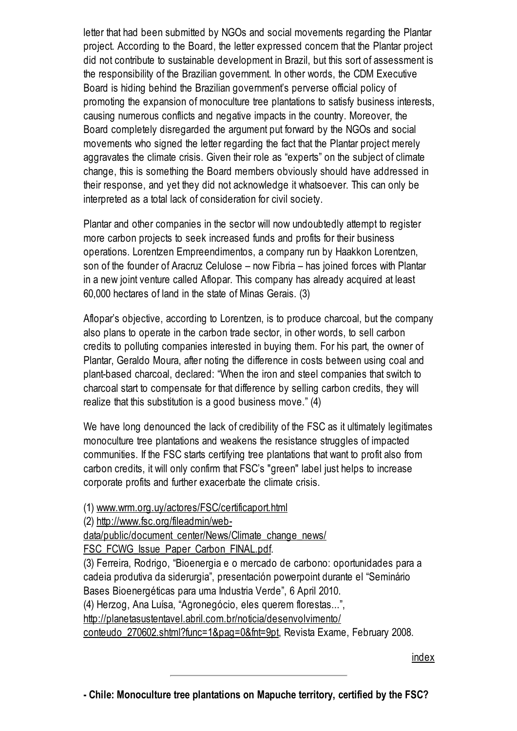letter that had been submitted by NGOs and social movements regarding the Plantar project. According to the Board, the letter expressed concern that the Plantar project did not contribute to sustainable development in Brazil, but this sort of assessment is the responsibility of the Brazilian government. In other words, the CDM Executive Board is hiding behind the Brazilian government's perverse official policy of promoting the expansion of monoculture tree plantations to satisfy business interests, causing numerous conflicts and negative impacts in the country. Moreover, the Board completely disregarded the argument put forward by the NGOs and social movements who signed the letter regarding the fact that the Plantar project merely aggravates the climate crisis. Given their role as "experts" on the subject of climate change, this is something the Board members obviously should have addressed in their response, and yet they did not acknowledge it whatsoever. This can only be interpreted as a total lack of consideration for civil society.

Plantar and other companies in the sector will now undoubtedly attempt to register more carbon projects to seek increased funds and profits for their business operations. Lorentzen Empreendimentos, a company run by Haakkon Lorentzen, son of the founder of Aracruz Celulose – now Fibria – has joined forces with Plantar in a new joint venture called Aflopar. This company has already acquired at least 60,000 hectares of land in the state of Minas Gerais. (3)

Aflopar's objective, according to Lorentzen, is to produce charcoal, but the company also plans to operate in the carbon trade sector, in other words, to sell carbon credits to polluting companies interested in buying them. For his part, the owner of Plantar, Geraldo Moura, after noting the difference in costs between using coal and plant-based charcoal, declared: "When the iron and steel companies that switch to charcoal start to compensate for that difference by selling carbon credits, they will realize that this substitution is a good business move." (4)

We have long denounced the lack of credibility of the FSC as it ultimately legitimates monoculture tree plantations and weakens the resistance struggles of impacted communities. If the FSC starts certifying tree plantations that want to profit also from carbon credits, it will only confirm that FSC's "green" label just helps to increase corporate profits and further exacerbate the climate crisis.

- (1) [www.wrm.org.uy/actores/FSC/certificaport.html](http://www.wrm.org.uy/actores/FSC/certificaport.html)
- (2) http://www.fsc.org/fileadmin/web-

[data/public/document\\_center/News/Climate\\_change\\_news/](http://www.fsc.org/fileadmin/web-data/public/document_center/News/Climate_change_news/FSC_FCWG_Issue_Paper_Carbon_FINAL.pdf)

FSC\_FCWG\_Issue\_Paper\_Carbon\_FINAL.pdf.

(3) Ferreira, Rodrigo, "Bioenergia e o mercado de carbono: oportunidades para a cadeia produtiva da siderurgia", presentación powerpoint durante el "Seminário Bases Bioenergéticas para uma Industria Verde", 6 April 2010.

(4) Herzog, Ana Luísa, "Agronegócio, eles querem florestas...",

[http://planetasustentavel.abril.com.br/noticia/desenvolvimento/](http://planetasustentavel.abril.com.br/noticia/desenvolvimento/conteudo_270602.shtml?func=1&pag=0&fnt=9pt)

conteudo\_270602.shtml?func=1&pag=0&fnt=9pt, Revista Exame, February 2008.

[index](http://wrm.org.uy/bulletin/163/viewpoint.html#0)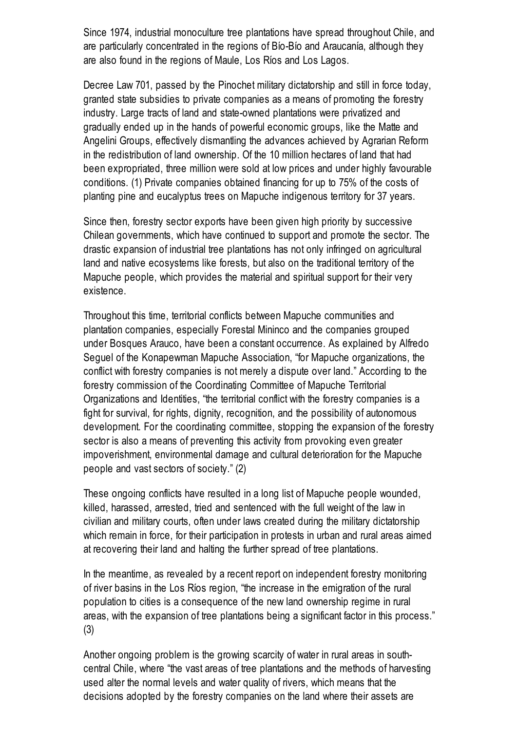Since 1974, industrial monoculture tree plantations have spread throughout Chile, and are particularly concentrated in the regions of Bío-Bío and Araucanía, although they are also found in the regions of Maule, Los Ríos and Los Lagos.

Decree Law 701, passed by the Pinochet military dictatorship and still in force today, granted state subsidies to private companies as a means of promoting the forestry industry. Large tracts of land and state-owned plantations were privatized and gradually ended up in the hands of powerful economic groups, like the Matte and Angelini Groups, effectively dismantling the advances achieved by Agrarian Reform in the redistribution of land ownership. Of the 10 million hectares of land that had been expropriated, three million were sold at low prices and under highly favourable conditions. (1) Private companies obtained financing for up to 75% of the costs of planting pine and eucalyptus trees on Mapuche indigenous territory for 37 years.

Since then, forestry sector exports have been given high priority by successive Chilean governments, which have continued to support and promote the sector. The drastic expansion of industrial tree plantations has not only infringed on agricultural land and native ecosystems like forests, but also on the traditional territory of the Mapuche people, which provides the material and spiritual support for their very existence.

Throughout this time, territorial conflicts between Mapuche communities and plantation companies, especially Forestal Mininco and the companies grouped under Bosques Arauco, have been a constant occurrence. As explained by Alfredo Seguel of the Konapewman Mapuche Association, "for Mapuche organizations, the conflict with forestry companies is not merely a dispute over land." According to the forestry commission of the Coordinating Committee of Mapuche Territorial Organizations and Identities, "the territorial conflict with the forestry companies is a fight for survival, for rights, dignity, recognition, and the possibility of autonomous development. For the coordinating committee, stopping the expansion of the forestry sector is also a means of preventing this activity from provoking even greater impoverishment, environmental damage and cultural deterioration for the Mapuche people and vast sectors of society." (2)

These ongoing conflicts have resulted in a long list of Mapuche people wounded, killed, harassed, arrested, tried and sentenced with the full weight of the law in civilian and military courts, often under laws created during the military dictatorship which remain in force, for their participation in protests in urban and rural areas aimed at recovering their land and halting the further spread of tree plantations.

In the meantime, as revealed by a recent report on independent forestry monitoring of river basins in the Los Ríos region, "the increase in the emigration of the rural population to cities is a consequence of the new land ownership regime in rural areas, with the expansion of tree plantations being a significant factor in this process." (3)

Another ongoing problem is the growing scarcity of water in rural areas in southcentral Chile, where "the vast areas of tree plantations and the methods of harvesting used alter the normal levels and water quality of rivers, which means that the decisions adopted by the forestry companies on the land where their assets are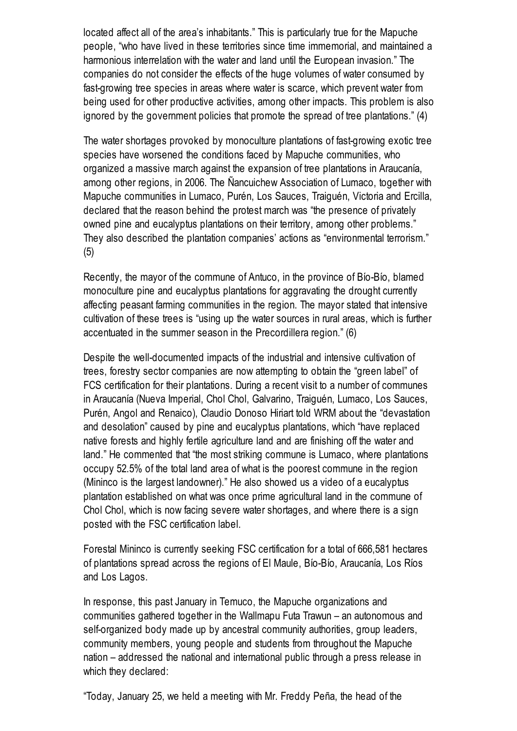located affect all of the area's inhabitants." This is particularly true for the Mapuche people, "who have lived in these territories since time immemorial, and maintained a harmonious interrelation with the water and land until the European invasion." The companies do not consider the effects of the huge volumes of water consumed by fast-growing tree species in areas where water is scarce, which prevent water from being used for other productive activities, among other impacts. This problem is also ignored by the government policies that promote the spread of tree plantations." (4)

The water shortages provoked by monoculture plantations of fast-growing exotic tree species have worsened the conditions faced by Mapuche communities, who organized a massive march against the expansion of tree plantations in Araucanía, among other regions, in 2006. The Ñancuichew Association of Lumaco, together with Mapuche communities in Lumaco, Purén, Los Sauces, Traiguén, Victoria and Ercilla, declared that the reason behind the protest march was "the presence of privately owned pine and eucalyptus plantations on their territory, among other problems." They also described the plantation companies' actions as "environmental terrorism." (5)

Recently, the mayor of the commune of Antuco, in the province of Bío-Bío, blamed monoculture pine and eucalyptus plantations for aggravating the drought currently affecting peasant farming communities in the region. The mayor stated that intensive cultivation of these trees is "using up the water sources in rural areas, which is further accentuated in the summer season in the Precordillera region." (6)

Despite the well-documented impacts of the industrial and intensive cultivation of trees, forestry sector companies are now attempting to obtain the "green label" of FCS certification for their plantations. During a recent visit to a number of communes in Araucanía (Nueva Imperial, Chol Chol, Galvarino, Traiguén, Lumaco, Los Sauces, Purén, Angol and Renaico), Claudio Donoso Hiriart told WRM about the "devastation and desolation" caused by pine and eucalyptus plantations, which "have replaced native forests and highly fertile agriculture land and are finishing off the water and land." He commented that "the most striking commune is Lumaco, where plantations occupy 52.5% of the total land area of what is the poorest commune in the region (Mininco is the largest landowner)." He also showed us a video of a eucalyptus plantation established on what was once prime agricultural land in the commune of Chol Chol, which is now facing severe water shortages, and where there is a sign posted with the FSC certification label.

Forestal Mininco is currently seeking FSC certification for a total of 666,581 hectares of plantations spread across the regions of El Maule, Bío-Bío, Araucanía, Los Ríos and Los Lagos.

In response, this past January in Temuco, the Mapuche organizations and communities gathered together in the Wallmapu Futa Trawun – an autonomous and self-organized body made up by ancestral community authorities, group leaders, community members, young people and students from throughout the Mapuche nation – addressed the national and international public through a press release in which they declared:

"Today, January 25, we held a meeting with Mr. Freddy Peña, the head of the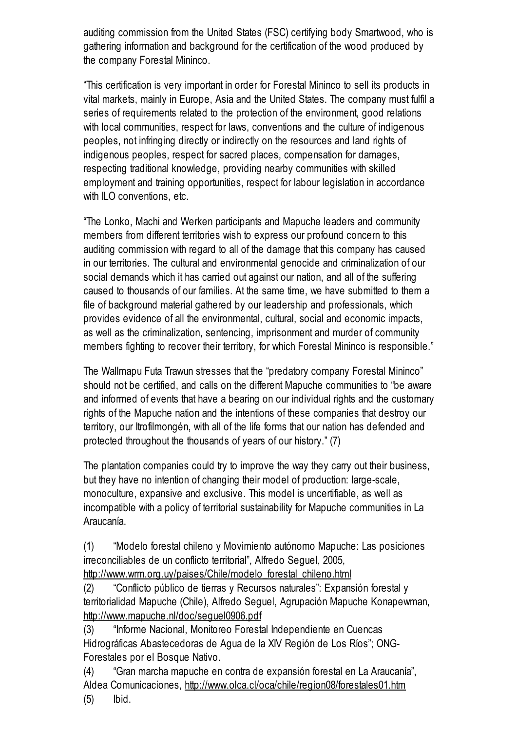auditing commission from the United States (FSC) certifying body Smartwood, who is gathering information and background for the certification of the wood produced by the company Forestal Mininco.

"This certification is very important in order for Forestal Mininco to sell its products in vital markets, mainly in Europe, Asia and the United States. The company must fulfil a series of requirements related to the protection of the environment, good relations with local communities, respect for laws, conventions and the culture of indigenous peoples, not infringing directly or indirectly on the resources and land rights of indigenous peoples, respect for sacred places, compensation for damages, respecting traditional knowledge, providing nearby communities with skilled employment and training opportunities, respect for labour legislation in accordance with ILO conventions, etc.

"The Lonko, Machi and Werken participants and Mapuche leaders and community members from different territories wish to express our profound concern to this auditing commission with regard to all of the damage that this company has caused in our territories. The cultural and environmental genocide and criminalization of our social demands which it has carried out against our nation, and all of the suffering caused to thousands of our families. At the same time, we have submitted to them a file of background material gathered by our leadership and professionals, which provides evidence of all the environmental, cultural, social and economic impacts, as well as the criminalization, sentencing, imprisonment and murder of community members fighting to recover their territory, for which Forestal Mininco is responsible."

The Wallmapu Futa Trawun stresses that the "predatory company Forestal Mininco" should not be certified, and calls on the different Mapuche communities to "be aware and informed of events that have a bearing on our individual rights and the customary rights of the Mapuche nation and the intentions of these companies that destroy our territory, our Itrofilmongén, with all of the life forms that our nation has defended and protected throughout the thousands of years of our history." (7)

The plantation companies could try to improve the way they carry out their business, but they have no intention of changing their model of production: large-scale, monoculture, expansive and exclusive. This model is uncertifiable, as well as incompatible with a policy of territorial sustainability for Mapuche communities in La Araucanía.

(1) "Modelo forestal chileno y Movimiento autónomo Mapuche: Las posiciones irreconciliables de un conflicto territorial", Alfredo Seguel, 2005,

[http://www.wrm.org.uy/paises/Chile/modelo\\_forestal\\_chileno.html](http://www.wrm.org.uy/paises/Chile/modelo_forestal_chileno.html)

(2) "Conflicto público de tierras y Recursos naturales": Expansión forestal y territorialidad Mapuche (Chile), Alfredo Seguel, Agrupación Mapuche Konapewman, <http://www.mapuche.nl/doc/seguel0906.pdf>

(3) "Informe Nacional, Monitoreo Forestal Independiente en Cuencas Hidrográficas Abastecedoras de Agua de la XIV Región de Los Ríos"; ONG-Forestales por el Bosque Nativo.

(4) "Gran marcha mapuche en contra de expansión forestal en La Araucanía", Aldea Comunicaciones, <http://www.olca.cl/oca/chile/region08/forestales01.htm> (5) Ibid.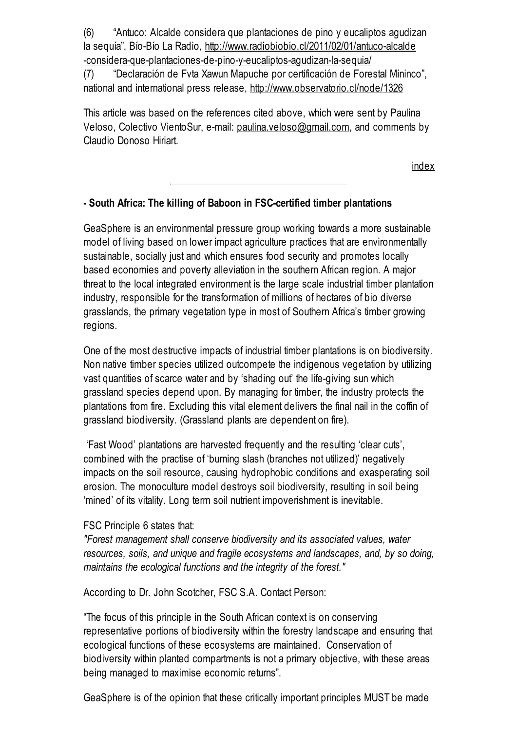(6) "Antuco: Alcalde considera que plantaciones de pino y eucaliptos agudizan la sequía", Bío-Bío La Radio, http://www.radiobiobio.cl/2011/02/01/antuco-alcalde [-considera-que-plantaciones-de-pino-y-eucaliptos-agudizan-la-sequia/](http://www.radiobiobio.cl/2011/02/01/antuco-alcalde-considera-que-plantaciones-de-pino-y-eucaliptos-agudizan-la-sequia/)

(7) "Declaración de Fvta Xawun Mapuche por certificación de Forestal Mininco", national and international press release, <http://www.observatorio.cl/node/1326>

This article was based on the references cited above, which were sent by Paulina Veloso, Colectivo VientoSur, e-mail: [paulina.veloso@gmail.com](javascript:location.href=), and comments by Claudio Donoso Hiriart.

[index](http://wrm.org.uy/bulletin/163/viewpoint.html#0)

## - South Africa: The killing of Baboon in FSC-certified timber plantations

GeaSphere is an environmental pressure group working towards a more sustainable model of living based on lower impact agriculture practices that are environmentally sustainable, socially just and which ensures food security and promotes locally based economies and poverty alleviation in the southern African region. A major threat to the local integrated environment is the large scale industrial timber plantation industry, responsible for the transformation of millions of hectares of bio diverse grasslands, the primary vegetation type in most of Southern Africa's timber growing regions.

One of the most destructive impacts of industrial timber plantations is on biodiversity. Non native timber species utilized outcompete the indigenous vegetation by utilizing vast quantities of scarce water and by 'shading out' the life-giving sun which grassland species depend upon. By managing for timber, the industry protects the plantations from fire. Excluding this vital element delivers the final nail in the coffin of grassland biodiversity. (Grassland plants are dependent on fire).

'Fast Wood' plantations are harvested frequently and the resulting 'clear cuts', combined with the practise of 'burning slash (branches not utilized)' negatively impacts on the soil resource, causing hydrophobic conditions and exasperating soil erosion. The monoculture model destroys soil biodiversity, resulting in soil being 'mined' of its vitality. Long term soil nutrient impoverishment is inevitable.

### FSC Principle 6 states that:

"Forest management shall conserve biodiversity and its associated values, water resources, soils, and unique and fragile ecosystems and landscapes, and, by so doing, maintains the ecological functions and the integrity of the forest."

According to Dr. John Scotcher, FSC S.A. Contact Person:

"The focus of this principle in the South African context is on conserving representative portions of biodiversity within the forestry landscape and ensuring that ecological functions of these ecosystems are maintained. Conservation of biodiversity within planted compartments is not a primary objective, with these areas being managed to maximise economic returns".

GeaSphere is of the opinion that these critically important principles MUST be made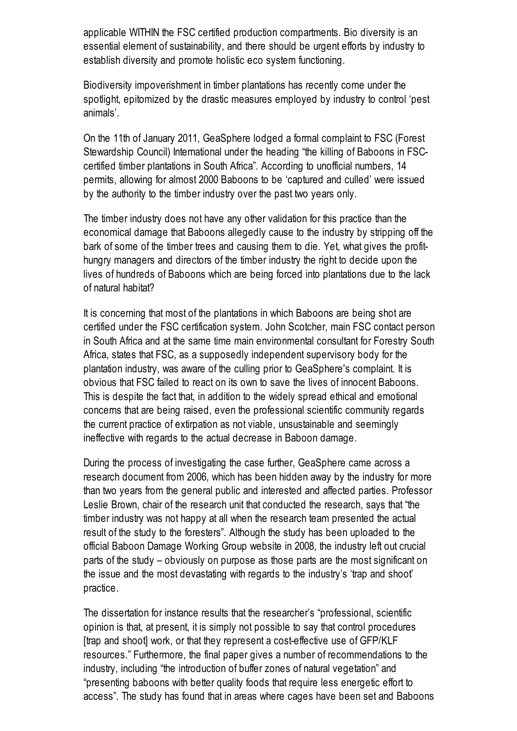applicable WITHIN the FSC certified production compartments. Bio diversity is an essential element of sustainability, and there should be urgent efforts by industry to establish diversity and promote holistic eco system functioning.

Biodiversity impoverishment in timber plantations has recently come under the spotlight, epitomized by the drastic measures employed by industry to control 'pest animals'.

On the 11th of January 2011, GeaSphere lodged a formal complaint to FSC (Forest Stewardship Council) International under the heading "the killing of Baboons in FSCcertified timber plantations in South Africa". According to unofficial numbers, 14 permits, allowing for almost 2000 Baboons to be 'captured and culled' were issued by the authority to the timber industry over the past two years only.

The timber industry does not have any other validation for this practice than the economical damage that Baboons allegedly cause to the industry by stripping off the bark of some of the timber trees and causing them to die. Yet, what gives the profithungry managers and directors of the timber industry the right to decide upon the lives of hundreds of Baboons which are being forced into plantations due to the lack of natural habitat?

It is concerning that most of the plantations in which Baboons are being shot are certified under the FSC certification system. John Scotcher, main FSC contact person in South Africa and at the same time main environmental consultant for Forestry South Africa, states that FSC, as a supposedly independent supervisory body for the plantation industry, was aware of the culling prior to GeaSphere's complaint. It is obvious that FSC failed to react on its own to save the lives of innocent Baboons. This is despite the fact that, in addition to the widely spread ethical and emotional concerns that are being raised, even the professional scientific community regards the current practice of extirpation as not viable, unsustainable and seemingly ineffective with regards to the actual decrease in Baboon damage.

During the process of investigating the case further, GeaSphere came across a research document from 2006, which has been hidden away by the industry for more than two years from the general public and interested and affected parties. Professor Leslie Brown, chair of the research unit that conducted the research, says that "the timber industry was not happy at all when the research team presented the actual result of the study to the foresters". Although the study has been uploaded to the official Baboon Damage Working Group website in 2008, the industry left out crucial parts of the study – obviously on purpose as those parts are the most significant on the issue and the most devastating with regards to the industry's 'trap and shoot' practice.

The dissertation for instance results that the researcher's "professional, scientific opinion is that, at present, it is simply not possible to say that control procedures [trap and shoot] work, or that they represent a cost-effective use of GFP/KLF resources." Furthermore, the final paper gives a number of recommendations to the industry, including "the introduction of buffer zones of natural vegetation" and "presenting baboons with better quality foods that require less energetic effort to access". The study has found that in areas where cages have been set and Baboons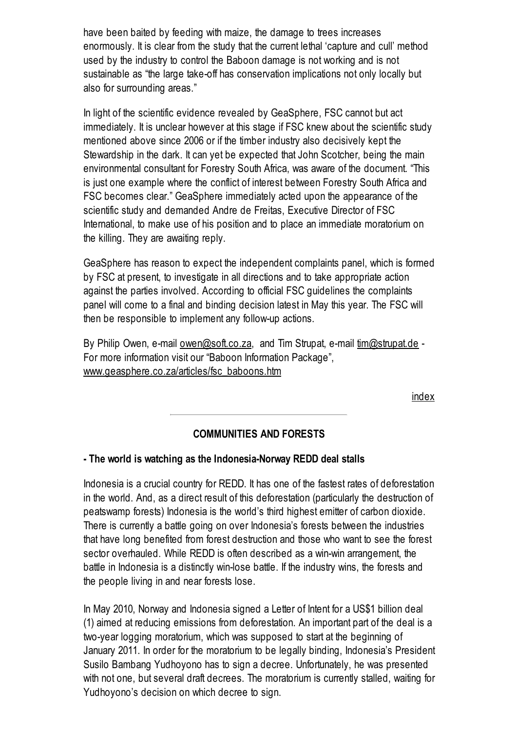have been baited by feeding with maize, the damage to trees increases enormously. It is clear from the study that the current lethal 'capture and cull' method used by the industry to control the Baboon damage is not working and is not sustainable as "the large take-off has conservation implications not only locally but also for surrounding areas."

In light of the scientific evidence revealed by GeaSphere, FSC cannot but act immediately. It is unclear however at this stage if FSC knew about the scientific study mentioned above since 2006 or if the timber industry also decisively kept the Stewardship in the dark. It can yet be expected that John Scotcher, being the main environmental consultant for Forestry South Africa, was aware of the document. "This is just one example where the conflict of interest between Forestry South Africa and FSC becomes clear." GeaSphere immediately acted upon the appearance of the scientific study and demanded Andre de Freitas, Executive Director of FSC International, to make use of his position and to place an immediate moratorium on the killing. They are awaiting reply.

GeaSphere has reason to expect the independent complaints panel, which is formed by FSC at present, to investigate in all directions and to take appropriate action against the parties involved. According to official FSC guidelines the complaints panel will come to a final and binding decision latest in May this year. The FSC will then be responsible to implement any follow-up actions.

By Philip Owen, e-mail [owen@soft.co.za](javascript:location.href=), and Tim Strupat, e-mail [tim@strupat.de](javascript:location.href=) -For more information visit our "Baboon Information Package", [www.geasphere.co.za/articles/fsc\\_baboons.htm](http://www.geasphere.co.za/articles/fsc_baboons.htm)

[index](http://wrm.org.uy/bulletin/163/viewpoint.html#0)

## COMMUNITIES AND FORESTS

#### - The world is watching as the Indonesia-Norway REDD deal stalls

Indonesia is a crucial country for REDD. It has one of the fastest rates of deforestation in the world. And, as a direct result of this deforestation (particularly the destruction of peatswamp forests) Indonesia is the world's third highest emitter of carbon dioxide. There is currently a battle going on over Indonesia's forests between the industries that have long benefited from forest destruction and those who want to see the forest sector overhauled. While REDD is often described as a win-win arrangement, the battle in Indonesia is a distinctly win-lose battle. If the industry wins, the forests and the people living in and near forests lose.

In May 2010, Norway and Indonesia signed a Letter of Intent for a US\$1 billion deal (1) aimed at reducing emissions from deforestation. An important part of the deal is a two-year logging moratorium, which was supposed to start at the beginning of January 2011. In order for the moratorium to be legally binding, Indonesia's President Susilo Bambang Yudhoyono has to sign a decree. Unfortunately, he was presented with not one, but several draft decrees. The moratorium is currently stalled, waiting for Yudhoyono's decision on which decree to sign.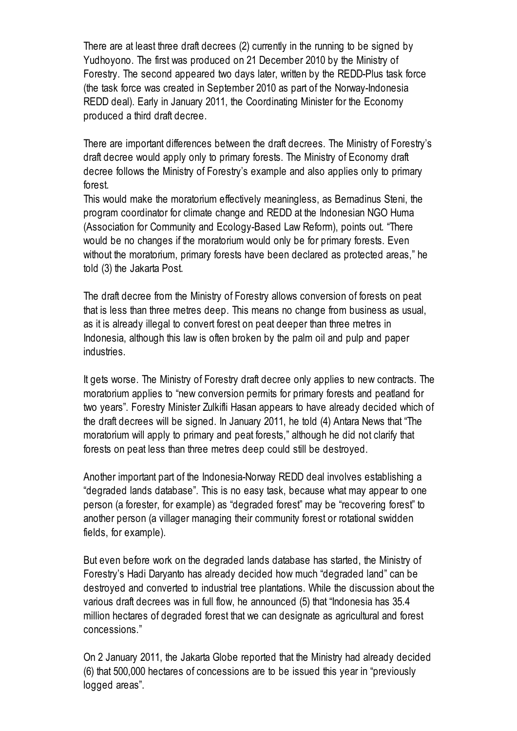There are at least three draft decrees (2) currently in the running to be signed by Yudhoyono. The first was produced on 21 December 2010 by the Ministry of Forestry. The second appeared two days later, written by the REDD-Plus task force (the task force was created in September 2010 as part of the Norway-Indonesia REDD deal). Early in January 2011, the Coordinating Minister for the Economy produced a third draft decree.

There are important differences between the draft decrees. The Ministry of Forestry's draft decree would apply only to primary forests. The Ministry of Economy draft decree follows the Ministry of Forestry's example and also applies only to primary forest.

This would make the moratorium effectively meaningless, as Bernadinus Steni, the program coordinator for climate change and REDD at the Indonesian NGO Huma (Association for Community and Ecology-Based Law Reform), points out. "There would be no changes if the moratorium would only be for primary forests. Even without the moratorium, primary forests have been declared as protected areas," he told (3) the Jakarta Post.

The draft decree from the Ministry of Forestry allows conversion of forests on peat that is less than three metres deep. This means no change from business as usual, as it is already illegal to convert forest on peat deeper than three metres in Indonesia, although this law is often broken by the palm oil and pulp and paper industries.

It gets worse. The Ministry of Forestry draft decree only applies to new contracts. The moratorium applies to "new conversion permits for primary forests and peatland for two years". Forestry Minister Zulkifli Hasan appears to have already decided which of the draft decrees will be signed. In January 2011, he told (4) Antara News that "The moratorium will apply to primary and peat forests," although he did not clarify that forests on peat less than three metres deep could still be destroyed.

Another important part of the Indonesia-Norway REDD deal involves establishing a "degraded lands database". This is no easy task, because what may appear to one person (a forester, for example) as "degraded forest" may be "recovering forest" to another person (a villager managing their community forest or rotational swidden fields, for example).

But even before work on the degraded lands database has started, the Ministry of Forestry's Hadi Daryanto has already decided how much "degraded land" can be destroyed and converted to industrial tree plantations. While the discussion about the various draft decrees was in full flow, he announced (5) that "Indonesia has 35.4 million hectares of degraded forest that we can designate as agricultural and forest concessions."

On 2 January 2011, the Jakarta Globe reported that the Ministry had already decided (6) that 500,000 hectares of concessions are to be issued this year in "previously logged areas".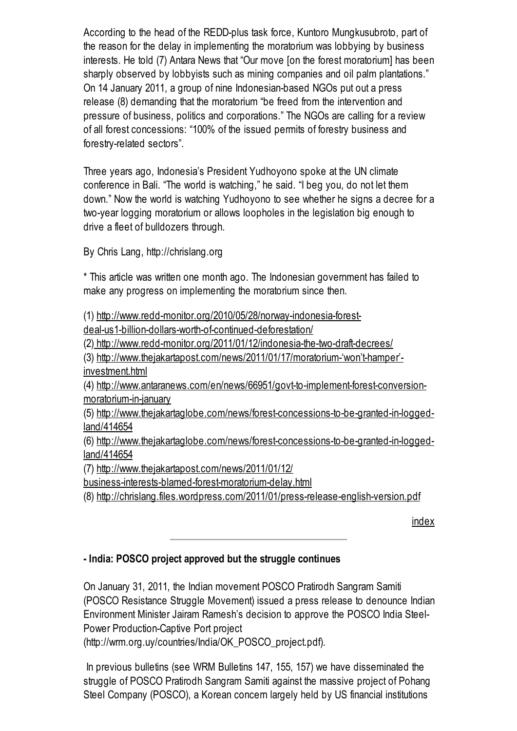According to the head of the REDD-plus task force, Kuntoro Mungkusubroto, part of the reason for the delay in implementing the moratorium was lobbying by business interests. He told (7) Antara News that "Our move [on the forest moratorium] has been sharply observed by lobbyists such as mining companies and oil palm plantations." On 14 January 2011, a group of nine Indonesian-based NGOs put out a press release (8) demanding that the moratorium "be freed from the intervention and pressure of business, politics and corporations." The NGOs are calling for a review of all forest concessions: "100% of the issued permits of forestry business and forestry-related sectors".

Three years ago, Indonesia's President Yudhoyono spoke at the UN climate conference in Bali. "The world is watching," he said. "I beg you, do not let them down." Now the world is watching Yudhoyono to see whether he signs a decree for a two-year logging moratorium or allows loopholes in the legislation big enough to drive a fleet of bulldozers through.

By Chris Lang, http://chrislang.org

\* This article was written one month ago. The Indonesian government has failed to make any progress on implementing the moratorium since then.

(1) [http://www.redd-monitor.org/2010/05/28/norway-indonesia-forest-](http://www.redd-monitor.org/2010/05/28/norway-indonesia-forest-deal-us1-billion-dollars-worth-of-continued-deforestation/)

deal-us1-billion-dollars-worth-of-continued-deforestation/

(2) <http://www.redd-monitor.org/2011/01/12/indonesia-the-two-draft-decrees/>

(3) [http://www.thejakartapost.com/news/2011/01/17/moratorium-'won't-hamper'](http://www.thejakartapost.com/news/2011/01/17/moratorium-%E2%80%98won%E2%80%99t-hamper%E2%80%99-investment.html) investment.html

(4) [http://www.antaranews.com/en/news/66951/govt-to-implement-forest-conversion](http://www.antaranews.com/en/news/66951/govt-to-implement-forest-conversion-moratorium-in-january)moratorium-in-january

(5) [http://www.thejakartaglobe.com/news/forest-concessions-to-be-granted-in-logged](http://www.thejakartaglobe.com/news/forest-concessions-to-be-granted-in-logged-land/414654)land/414654

(6) [http://www.thejakartaglobe.com/news/forest-concessions-to-be-granted-in-logged](http://www.thejakartaglobe.com/news/forest-concessions-to-be-granted-in-logged-land/414654)land/414654

(7) http://www.thejakartapost.com/news/2011/01/12/

[business-interests-blamed-forest-moratorium-delay.html](http://www.thejakartapost.com/news/2011/01/12/business-interests-blamed-forest-moratorium-delay.html)

(8) <http://chrislang.files.wordpress.com/2011/01/press-release-english-version.pdf>

[index](http://wrm.org.uy/bulletin/163/viewpoint.html#0)

# - India: POSCO project approved but the struggle continues

On January 31, 2011, the Indian movement POSCO Pratirodh Sangram Samiti (POSCO Resistance Struggle Movement) issued a press release to denounce Indian Environment Minister Jairam Ramesh's decision to approve the POSCO India Steel-Power Production-Captive Port project

(http://wrm.org.uy/countries/India/OK\_POSCO\_project.pdf).

In previous bulletins (see WRM Bulletins 147, 155, 157) we have disseminated the struggle of POSCO Pratirodh Sangram Samiti against the massive project of Pohang Steel Company (POSCO), a Korean concern largely held by US financial institutions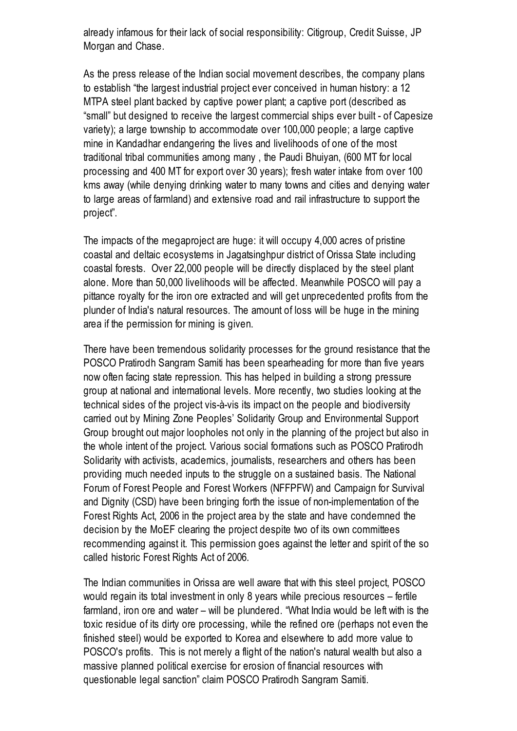already infamous for their lack of social responsibility: Citigroup, Credit Suisse, JP Morgan and Chase.

As the press release of the Indian social movement describes, the company plans to establish "the largest industrial project ever conceived in human history: a 12 MTPA steel plant backed by captive power plant; a captive port (described as "small" but designed to receive the largest commercial ships ever built - of Capesize variety); a large township to accommodate over 100,000 people; a large captive mine in Kandadhar endangering the lives and livelihoods of one of the most traditional tribal communities among many , the Paudi Bhuiyan, (600 MT for local processing and 400 MT for export over 30 years); fresh water intake from over 100 kms away (while denying drinking water to many towns and cities and denying water to large areas of farmland) and extensive road and rail infrastructure to support the project".

The impacts of the megaproject are huge: it will occupy 4,000 acres of pristine coastal and deltaic ecosystems in Jagatsinghpur district of Orissa State including coastal forests. Over 22,000 people will be directly displaced by the steel plant alone. More than 50,000 livelihoods will be affected. Meanwhile POSCO will pay a pittance royalty for the iron ore extracted and will get unprecedented profits from the plunder of India's natural resources. The amount of loss will be huge in the mining area if the permission for mining is given.

There have been tremendous solidarity processes for the ground resistance that the POSCO Pratirodh Sangram Samiti has been spearheading for more than five years now often facing state repression. This has helped in building a strong pressure group at national and international levels. More recently, two studies looking at the technical sides of the project vis-à-vis its impact on the people and biodiversity carried out by Mining Zone Peoples' Solidarity Group and Environmental Support Group brought out major loopholes not only in the planning of the project but also in the whole intent of the project. Various social formations such as POSCO Pratirodh Solidarity with activists, academics, journalists, researchers and others has been providing much needed inputs to the struggle on a sustained basis. The National Forum of Forest People and Forest Workers (NFFPFW) and Campaign for Survival and Dignity (CSD) have been bringing forth the issue of non-implementation of the Forest Rights Act, 2006 in the project area by the state and have condemned the decision by the MoEF clearing the project despite two of its own committees recommending against it. This permission goes against the letter and spirit of the so called historic Forest Rights Act of 2006.

The Indian communities in Orissa are well aware that with this steel project, POSCO would regain its total investment in only 8 years while precious resources – fertile farmland, iron ore and water – will be plundered. "What India would be left with is the toxic residue of its dirty ore processing, while the refined ore (perhaps not even the finished steel) would be exported to Korea and elsewhere to add more value to POSCO's profits. This is not merely a flight of the nation's natural wealth but also a massive planned political exercise for erosion of financial resources with questionable legal sanction" claim POSCO Pratirodh Sangram Samiti.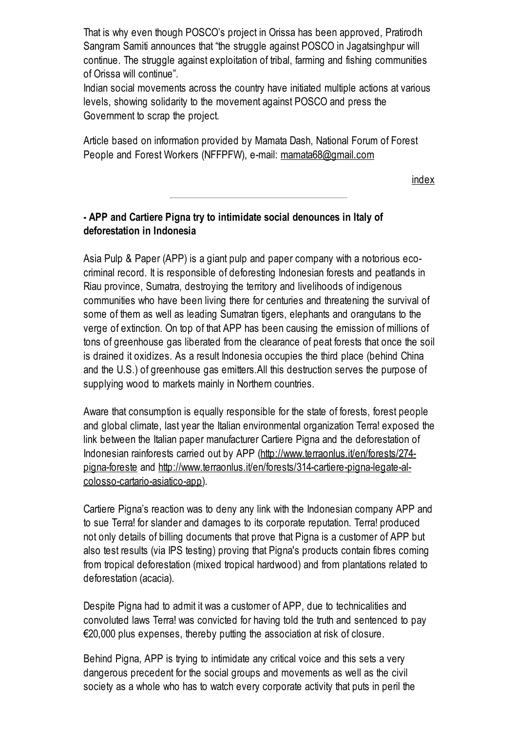That is why even though POSCO's project in Orissa has been approved, Pratirodh Sangram Samiti announces that "the struggle against POSCO in Jagatsinghpur will continue. The struggle against exploitation of tribal, farming and fishing communities of Orissa will continue".

Indian social movements across the country have initiated multiple actions at various levels, showing solidarity to the movement against POSCO and press the Government to scrap the project.

Article based on information provided by Mamata Dash, National Forum of Forest People and Forest Workers (NFFPFW), e-mail: [mamata68@gmail.com](javascript:location.href=)

[index](http://wrm.org.uy/bulletin/163/viewpoint.html#0)

## - APP and Cartiere Pigna try to intimidate social denounces in Italy of deforestation in Indonesia

Asia Pulp & Paper (APP) is a giant pulp and paper company with a notorious ecocriminal record. It is responsible of deforesting Indonesian forests and peatlands in Riau province, Sumatra, destroying the territory and livelihoods of indigenous communities who have been living there for centuries and threatening the survival of some of them as well as leading Sumatran tigers, elephants and orangutans to the verge of extinction. On top of that APP has been causing the emission of millions of tons of greenhouse gas liberated from the clearance of peat forests that once the soil is drained it oxidizes. As a result Indonesia occupies the third place (behind China and the U.S.) of greenhouse gas emitters.All this destruction serves the purpose of supplying wood to markets mainly in Northern countries.

Aware that consumption is equally responsible for the state of forests, forest people and global climate, last year the Italian environmental organization Terra! exposed the link between the Italian paper manufacturer Cartiere Pigna and the deforestation of Indonesian rainforests carried out by APP (http://www.terraonlus.it/en/forests/274pigna-foreste and [http://www.terraonlus.it/en/forests/314-cartiere-pigna-legate-al](http://www.terraonlus.it/en/forests/274-pigna-foreste)colosso-cartario-asiatico-app).

Cartiere Pigna's reaction was to deny any link with the Indonesian company APP and to sue Terra! for slander and damages to its corporate reputation. Terra! produced not only details of billing documents that prove that Pigna is a customer of APP but also test results (via IPS testing) proving that Pigna's products contain fibres coming from tropical deforestation (mixed tropical hardwood) and from plantations related to deforestation (acacia).

Despite Pigna had to admit it was a customer of APP, due to technicalities and convoluted laws Terra! was convicted for having told the truth and sentenced to pay €20,000 plus expenses, thereby putting the association at risk of closure.

Behind Pigna, APP is trying to intimidate any critical voice and this sets a very dangerous precedent for the social groups and movements as well as the civil society as a whole who has to watch every corporate activity that puts in peril the